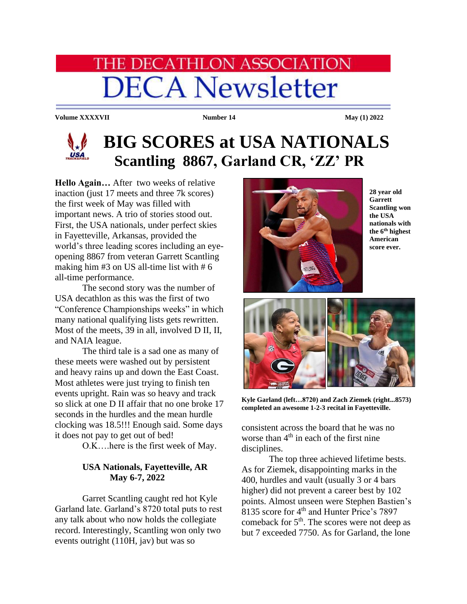# **HE DECATHLON ASSOCIATION DECA Newsletter**

**Volume XXXXVII Number 14 May** (1) 2022



## **BIG SCORES at USA NATIONALS Scantling 8867, Garland CR, 'ZZ' PR**

**Hello Again…** After two weeks of relative inaction (just 17 meets and three 7k scores) the first week of May was filled with important news. A trio of stories stood out. First, the USA nationals, under perfect skies in Fayetteville, Arkansas, provided the world's three leading scores including an eyeopening 8867 from veteran Garrett Scantling making him  $#3$  on US all-time list with  $#6$ all-time performance.

The second story was the number of USA decathlon as this was the first of two "Conference Championships weeks" in which many national qualifying lists gets rewritten. Most of the meets, 39 in all, involved D II, II, and NAIA league.

The third tale is a sad one as many of these meets were washed out by persistent and heavy rains up and down the East Coast. Most athletes were just trying to finish ten events upright. Rain was so heavy and track so slick at one D II affair that no one broke 17 seconds in the hurdles and the mean hurdle clocking was 18.5!!! Enough said. Some days it does not pay to get out of bed!

O.K….here is the first week of May.

### **USA Nationals, Fayetteville, AR May 6-7, 2022**

Garret Scantling caught red hot Kyle Garland late. Garland's 8720 total puts to rest any talk about who now holds the collegiate record. Interestingly, Scantling won only two events outright (110H, jav) but was so



**28 year old Garrett Scantling won the USA nationals with the 6 th highest American score ever.**



**Kyle Garland (left…8720) and Zach Ziemek (right...8573) completed an awesome 1-2-3 recital in Fayetteville.**

consistent across the board that he was no worse than  $4<sup>th</sup>$  in each of the first nine disciplines.

The top three achieved lifetime bests. As for Ziemek, disappointing marks in the 400, hurdles and vault (usually 3 or 4 bars higher) did not prevent a career best by 102 points. Almost unseen were Stephen Bastien's 8135 score for 4<sup>th</sup> and Hunter Price's 7897 comeback for 5th. The scores were not deep as but 7 exceeded 7750. As for Garland, the lone